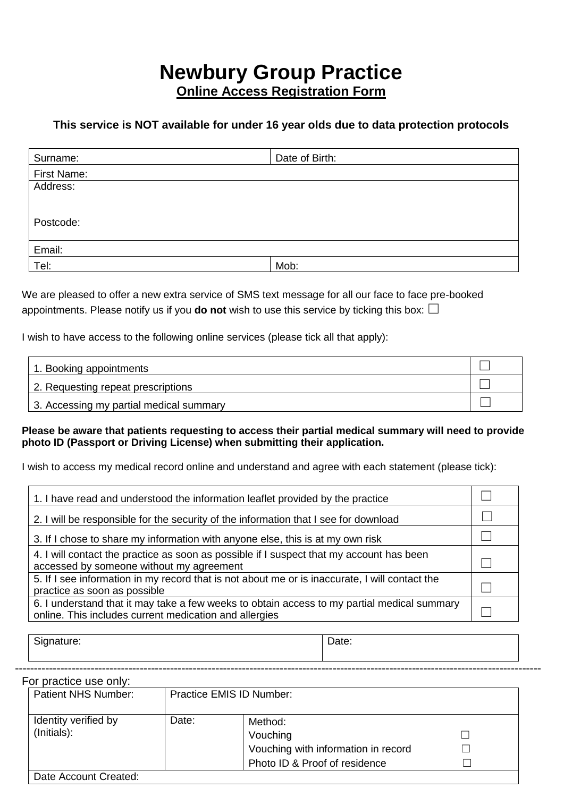# **Newbury Group Practice Online Access Registration Form**

### **This service is NOT available for under 16 year olds due to data protection protocols**

| Surname:    | Date of Birth: |
|-------------|----------------|
| First Name: |                |
| Address:    |                |
|             |                |
|             |                |
| Postcode:   |                |
|             |                |
| Email:      |                |
| Tel:        | Mob:           |

We are pleased to offer a new extra service of SMS text message for all our face to face pre-booked appointments. Please notify us if you **do not** wish to use this service by ticking this box:  $\Box$ 

I wish to have access to the following online services (please tick all that apply):

| 1. Booking appointments                 |  |
|-----------------------------------------|--|
| 2. Requesting repeat prescriptions      |  |
| 3. Accessing my partial medical summary |  |

#### **Please be aware that patients requesting to access their partial medical summary will need to provide photo ID (Passport or Driving License) when submitting their application.**

I wish to access my medical record online and understand and agree with each statement (please tick):

| 1. I have read and understood the information leaflet provided by the practice                                                                        |  |
|-------------------------------------------------------------------------------------------------------------------------------------------------------|--|
| 2. I will be responsible for the security of the information that I see for download                                                                  |  |
| 3. If I chose to share my information with anyone else, this is at my own risk                                                                        |  |
| 4. I will contact the practice as soon as possible if I suspect that my account has been<br>accessed by someone without my agreement                  |  |
| 5. If I see information in my record that is not about me or is inaccurate, I will contact the<br>practice as soon as possible                        |  |
| 6. I understand that it may take a few weeks to obtain access to my partial medical summary<br>online. This includes current medication and allergies |  |

| Signature: | Date: |
|------------|-------|
|------------|-------|

For practice use only:

| Patient NHS Number:                 |       | Practice EMIS ID Number:                                                                    |  |  |
|-------------------------------------|-------|---------------------------------------------------------------------------------------------|--|--|
| Identity verified by<br>(Initials): | Date: | Method:<br>Vouching<br>Vouching with information in record<br>Photo ID & Proof of residence |  |  |
| Date Account Created:               |       |                                                                                             |  |  |

-------------------------------------------------------------------------------------------------------------------------------------------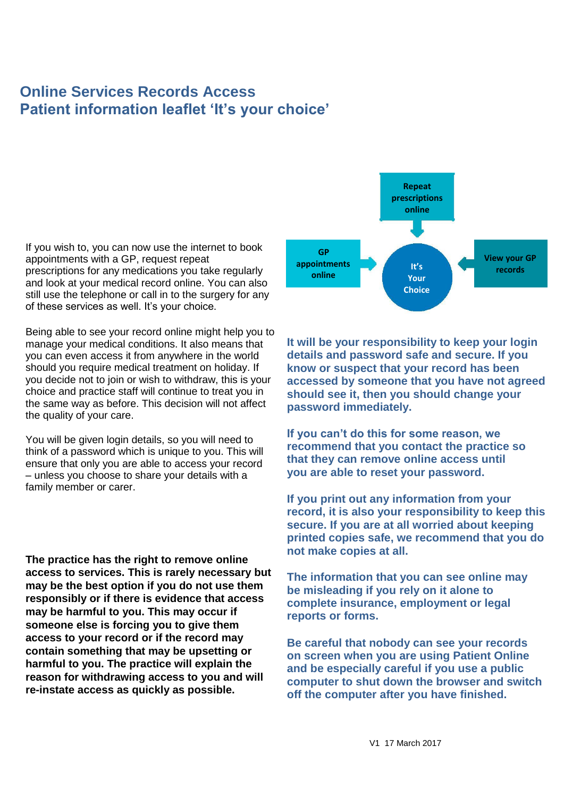# **Online Services Records Access Patient information leaflet 'It's your choice'**

If you wish to, you can now use the internet to book appointments with a GP, request repeat prescriptions for any medications you take regularly and look at your medical record online. You can also still use the telephone or call in to the surgery for any of these services as well. It's your choice.

Being able to see your record online might help you to manage your medical conditions. It also means that you can even access it from anywhere in the world should you require medical treatment on holiday. If you decide not to join or wish to withdraw, this is your choice and practice staff will continue to treat you in the same way as before. This decision will not affect the quality of your care.

You will be given login details, so you will need to think of a password which is unique to you. This will ensure that only you are able to access your record – unless you choose to share your details with a family member or carer.

**The practice has the right to remove online access to services. This is rarely necessary but may be the best option if you do not use them responsibly or if there is evidence that access may be harmful to you. This may occur if someone else is forcing you to give them access to your record or if the record may contain something that may be upsetting or harmful to you. The practice will explain the reason for withdrawing access to you and will re-instate access as quickly as possible.**



**It will be your responsibility to keep your login details and password safe and secure. If you know or suspect that your record has been accessed by someone that you have not agreed should see it, then you should change your password immediately.**

**If you can't do this for some reason, we recommend that you contact the practice so that they can remove online access until you are able to reset your password.**

**If you print out any information from your record, it is also your responsibility to keep this secure. If you are at all worried about keeping printed copies safe, we recommend that you do not make copies at all.**

**The information that you can see online may be misleading if you rely on it alone to complete insurance, employment or legal reports or forms.**

**Be careful that nobody can see your records on screen when you are using Patient Online and be especially careful if you use a public computer to shut down the browser and switch off the computer after you have finished.**